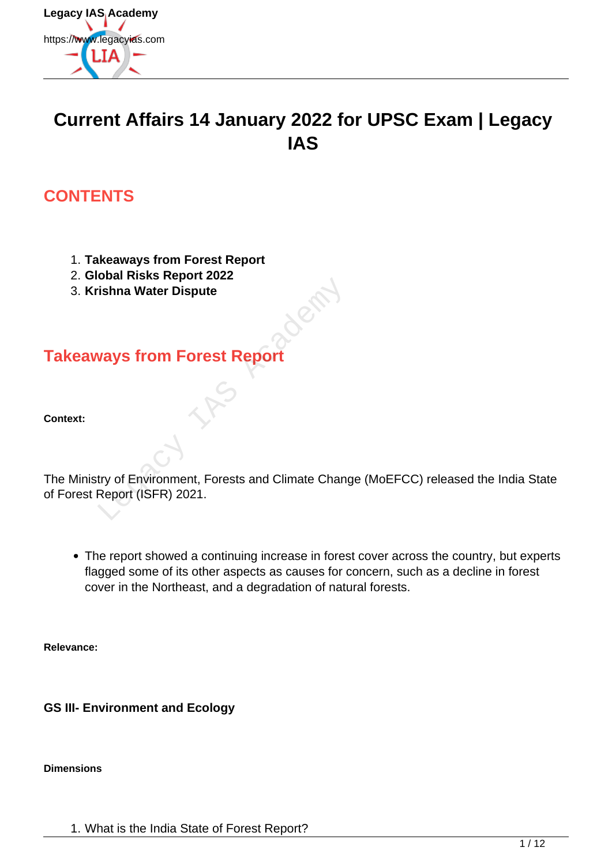

# **Current Affairs 14 January 2022 for UPSC Exam | Legacy IAS**

# **CONTENTS**

- 1. **Takeaways from Forest Report**
- 2. **Global Risks Report 2022**
- 3. **Krishna Water Dispute**

# **Takeaways from Forest Report**

**Context:**

The Ministry of Environment, Forests and Climate Change (MoEFCC) released the India State of Forest Report (ISFR) 2021. Salar Mater Dispute<br>
Vays from Forest Report<br>
Vays from Forest Report<br>
Hy of Environment, Forests and Climate Chang<br>
Report (ISFR) 2021.

The report showed a continuing increase in forest cover across the country, but experts flagged some of its other aspects as causes for concern, such as a decline in forest cover in the Northeast, and a degradation of natural forests.

**Relevance:**

**GS III- Environment and Ecology**

**Dimensions**

<sup>1.</sup> What is the India State of Forest Report?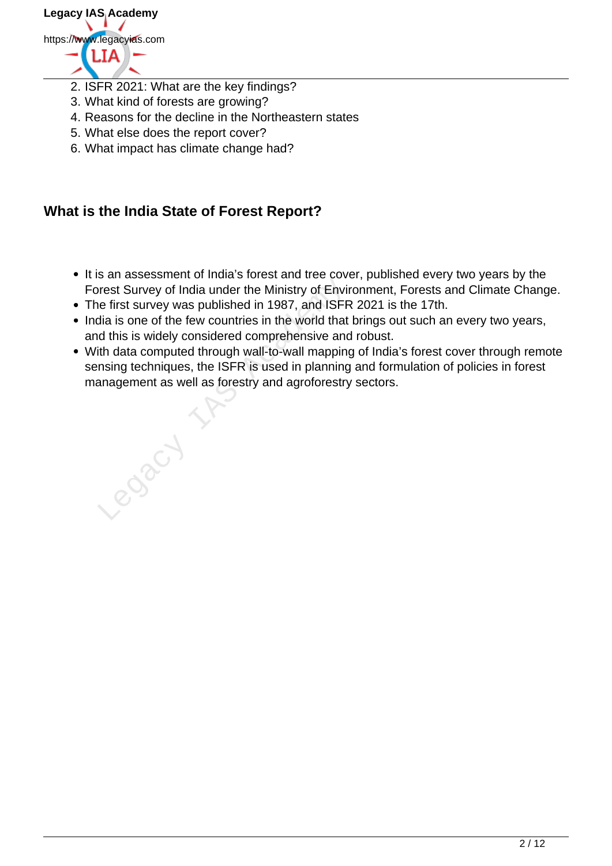

- 2. ISFR 2021: What are the key findings?
- 3. What kind of forests are growing?
- 4. Reasons for the decline in the Northeastern states
- 5. What else does the report cover?
- 6. What impact has climate change had?

#### **What is the India State of Forest Report?**

- It is an assessment of India's forest and tree cover, published every two years by the Forest Survey of India under the Ministry of Environment, Forests and Climate Change.
- The first survey was published in 1987, and ISFR 2021 is the 17th.
- India is one of the few countries in the world that brings out such an every two years, and this is widely considered comprehensive and robust.
- With data computed through wall-to-wall mapping of India's forest cover through remote sensing techniques, the ISFR is used in planning and formulation of policies in forest management as well as forestry and agroforestry sectors.<br>
Legacy IAS Academy<br>
Constant of the sectors of the sectors and all the sectors of the sectors of the sectors<br>
Constant of the sectors of the sectors of the sectors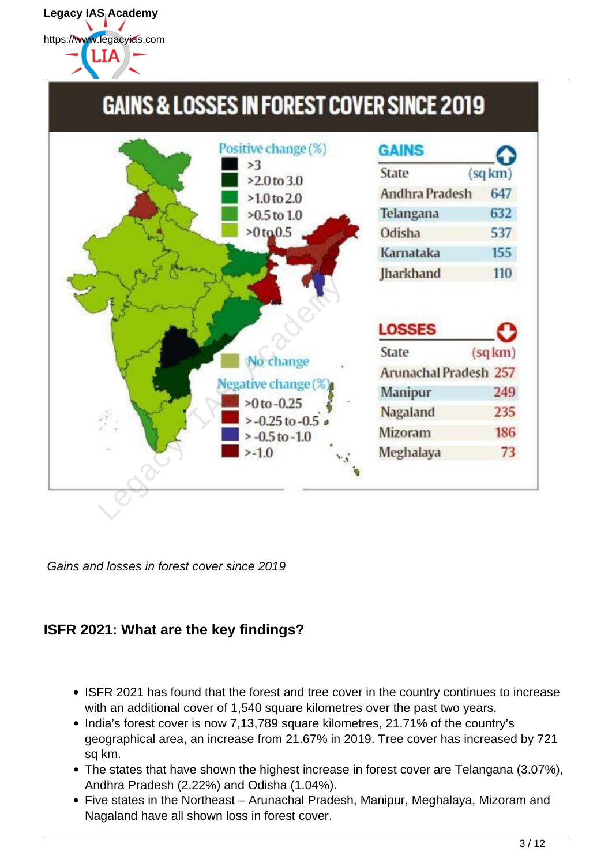Legacy IAS<sub>I</sub> Academy https://www.legacyias.com 1 T A

# **GAINS & LOSSES IN FOREST COVER SINCE 2019**



Gains and losses in forest cover since 2019

# **ISFR 2021: What are the key findings?**

- ISFR 2021 has found that the forest and tree cover in the country continues to increase with an additional cover of 1,540 square kilometres over the past two years.
- India's forest cover is now 7,13,789 square kilometres, 21.71% of the country's geographical area, an increase from 21.67% in 2019. Tree cover has increased by 721 sq km.
- The states that have shown the highest increase in forest cover are Telangana (3.07%), Andhra Pradesh (2.22%) and Odisha (1.04%).
- Five states in the Northeast Arunachal Pradesh, Manipur, Meghalaya, Mizoram and Nagaland have all shown loss in forest cover.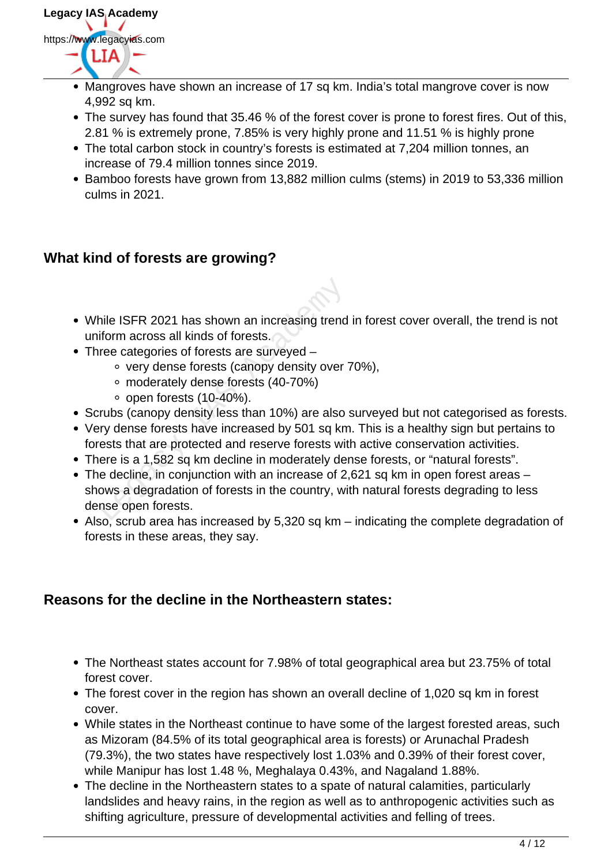- Mangroves have shown an increase of 17 sq km. India's total mangrove cover is now 4,992 sq km.
- The survey has found that 35.46 % of the forest cover is prone to forest fires. Out of this, 2.81 % is extremely prone, 7.85% is very highly prone and 11.51 % is highly prone
- The total carbon stock in country's forests is estimated at 7,204 million tonnes, an increase of 79.4 million tonnes since 2019.
- Bamboo forests have grown from 13,882 million culms (stems) in 2019 to 53,336 million culms in 2021.

# **What kind of forests are growing?**

- While ISFR 2021 has shown an increasing trend in forest cover overall, the trend is not uniform across all kinds of forests.
- Three categories of forests are surveyed
	- very dense forests (canopy density over 70%),
	- moderately dense forests (40-70%)
	- $\circ$  open forests (10-40%).
- Scrubs (canopy density less than 10%) are also surveyed but not categorised as forests.
- Very dense forests have increased by 501 sq km. This is a healthy sign but pertains to forests that are protected and reserve forests with active conservation activities.
- There is a 1,582 sq km decline in moderately dense forests, or "natural forests".
- The decline, in conjunction with an increase of 2,621 sq km in open forest areas shows a degradation of forests in the country, with natural forests degrading to less dense open forests. hile ISFR 2021 has shown an increasing trend<br>iform across all kinds of forests.<br>ree categories of forests are surveyed –<br>• very dense forests (canopy density over 1<br>• moderately dense forests (40-70%)<br>• open forests (10-4
- Also, scrub area has increased by 5,320 sq km indicating the complete degradation of forests in these areas, they say.

# **Reasons for the decline in the Northeastern states:**

- The Northeast states account for 7.98% of total geographical area but 23.75% of total forest cover.
- The forest cover in the region has shown an overall decline of 1,020 sq km in forest cover.
- While states in the Northeast continue to have some of the largest forested areas, such as Mizoram (84.5% of its total geographical area is forests) or Arunachal Pradesh (79.3%), the two states have respectively lost 1.03% and 0.39% of their forest cover, while Manipur has lost 1.48 %, Meghalaya 0.43%, and Nagaland 1.88%.
- The decline in the Northeastern states to a spate of natural calamities, particularly landslides and heavy rains, in the region as well as to anthropogenic activities such as shifting agriculture, pressure of developmental activities and felling of trees.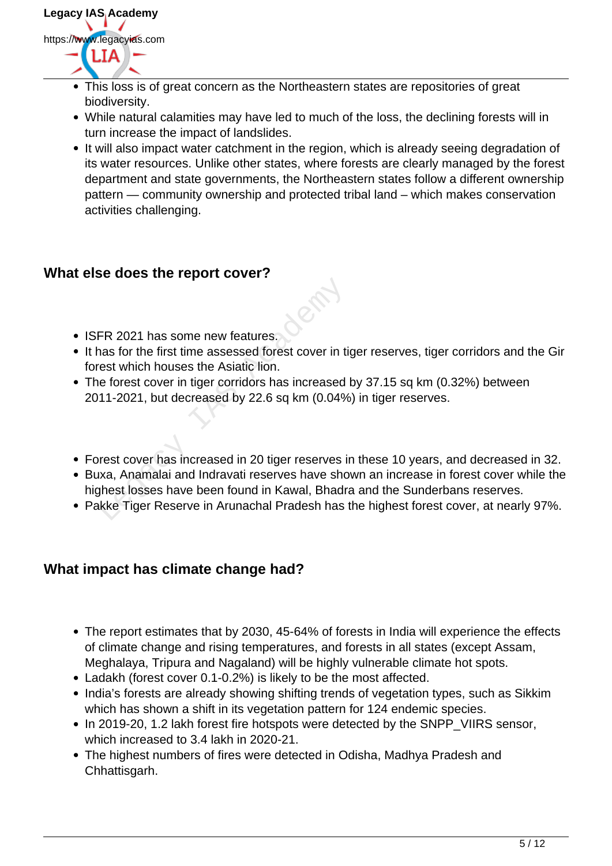

- This loss is of great concern as the Northeastern states are repositories of great biodiversity.
- While natural calamities may have led to much of the loss, the declining forests will in turn increase the impact of landslides.
- It will also impact water catchment in the region, which is already seeing degradation of its water resources. Unlike other states, where forests are clearly managed by the forest department and state governments, the Northeastern states follow a different ownership pattern — community ownership and protected tribal land – which makes conservation activities challenging.

# **What else does the report cover?**

- ISFR 2021 has some new features.
- It has for the first time assessed forest cover in tiger reserves, tiger corridors and the Gir forest which houses the Asiatic lion.
- The forest cover in tiger corridors has increased by 37.15 sq km (0.32%) between 2011-2021, but decreased by 22.6 sq km (0.04%) in tiger reserves.
- Forest cover has increased in 20 tiger reserves in these 10 years, and decreased in 32.
- Buxa, Anamalai and Indravati reserves have shown an increase in forest cover while the highest losses have been found in Kawal, Bhadra and the Sunderbans reserves. FR 2021 has some new features.<br>
The 2021 has some new features.<br>
The first time assessed forest cover in tiest which houses the Asiatic lion.<br>
The forest cover in tiger corridors has increased<br>
11-2021, but decreased by 22
- Pakke Tiger Reserve in Arunachal Pradesh has the highest forest cover, at nearly 97%.

# **What impact has climate change had?**

- The report estimates that by 2030, 45-64% of forests in India will experience the effects of climate change and rising temperatures, and forests in all states (except Assam, Meghalaya, Tripura and Nagaland) will be highly vulnerable climate hot spots.
- Ladakh (forest cover 0.1-0.2%) is likely to be the most affected.
- India's forests are already showing shifting trends of vegetation types, such as Sikkim which has shown a shift in its vegetation pattern for 124 endemic species.
- In 2019-20, 1.2 lakh forest fire hotspots were detected by the SNPP\_VIIRS sensor, which increased to 3.4 lakh in 2020-21.
- The highest numbers of fires were detected in Odisha, Madhya Pradesh and Chhattisgarh.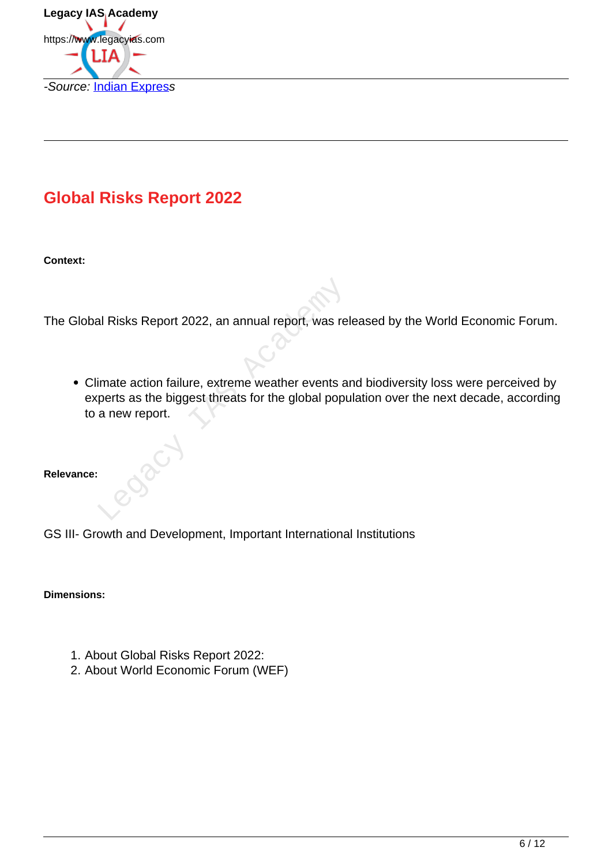

# **Global Risks Report 2022**

**Context:**

The Global Risks Report 2022, an annual report, was released by the World Economic Forum.

Climate action failure, extreme weather events and biodiversity loss were perceived by experts as the biggest threats for the global population over the next decade, according to a new report. al Risks Report 2022, an annual report, was re<br>
limate action failure, extreme weather events a<br>
perts as the biggest threats for the global popu<br>
a new report.

**Relevance:**

GS III- Growth and Development, Important International Institutions

**Dimensions:**

- 1. About Global Risks Report 2022:
- 2. About World Economic Forum (WEF)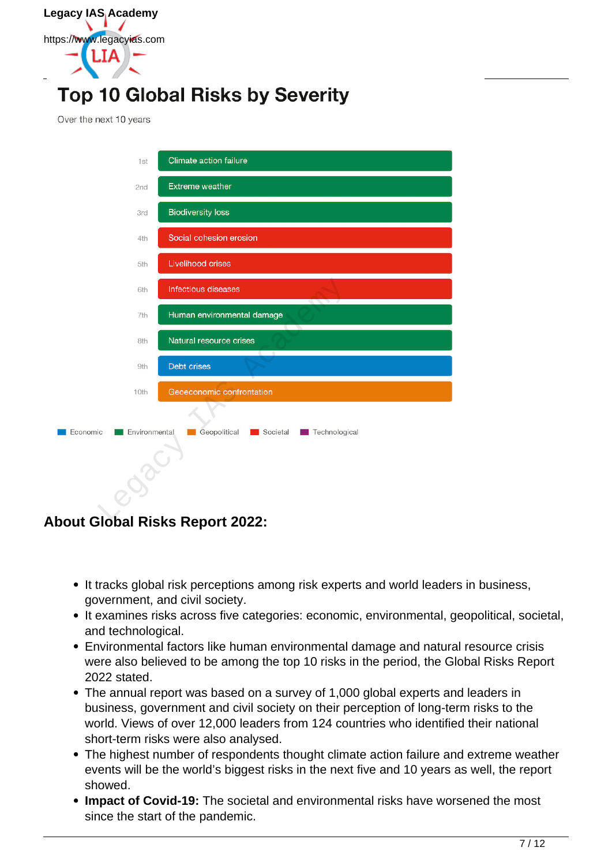

# **Top 10 Global Risks by Severity**

Over the next 10 years



**About Global Risks Report 2022:**

- It tracks global risk perceptions among risk experts and world leaders in business, government, and civil society.
- It examines risks across five categories: economic, environmental, geopolitical, societal, and technological.
- Environmental factors like human environmental damage and natural resource crisis were also believed to be among the top 10 risks in the period, the Global Risks Report 2022 stated.
- The annual report was based on a survey of 1,000 global experts and leaders in business, government and civil society on their perception of long-term risks to the world. Views of over 12,000 leaders from 124 countries who identified their national short-term risks were also analysed.
- The highest number of respondents thought climate action failure and extreme weather events will be the world's biggest risks in the next five and 10 years as well, the report showed.
- **Impact of Covid-19:** The societal and environmental risks have worsened the most since the start of the pandemic.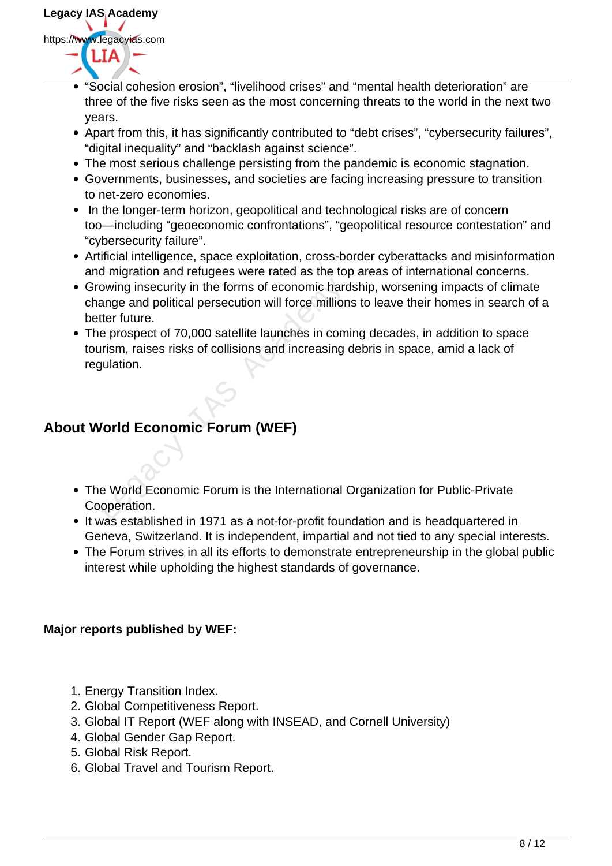- "Social cohesion erosion", "livelihood crises" and "mental health deterioration" are three of the five risks seen as the most concerning threats to the world in the next two years.
- Apart from this, it has significantly contributed to "debt crises", "cybersecurity failures", "digital inequality" and "backlash against science".
- The most serious challenge persisting from the pandemic is economic stagnation.
- Governments, businesses, and societies are facing increasing pressure to transition to net-zero economies.
- In the longer-term horizon, geopolitical and technological risks are of concern too—including "geoeconomic confrontations", "geopolitical resource contestation" and "cybersecurity failure".
- Artificial intelligence, space exploitation, cross-border cyberattacks and misinformation and migration and refugees were rated as the top areas of international concerns.
- Growing insecurity in the forms of economic hardship, worsening impacts of climate change and political persecution will force millions to leave their homes in search of a better future.
- The prospect of 70,000 satellite launches in coming decades, in addition to space tourism, raises risks of collisions and increasing debris in space, amid a lack of regulation. Frame insecurity in the forms of economic hard<br>ange and political persecution will force million<br>tter future.<br>Le prospect of 70,000 satellite launches in com<br>urism, raises risks of collisions and increasing<br>qulation.<br>**Vorl**

# **About World Economic Forum (WEF)**

- The World Economic Forum is the International Organization for Public-Private Cooperation.
- It was established in 1971 as a not-for-profit foundation and is headquartered in Geneva, Switzerland. It is independent, impartial and not tied to any special interests.
- The Forum strives in all its efforts to demonstrate entrepreneurship in the global public interest while upholding the highest standards of governance.

#### **Major reports published by WEF:**

- 1. Energy Transition Index.
- 2. Global Competitiveness Report.
- 3. Global IT Report (WEF along with INSEAD, and Cornell University)
- 4. Global Gender Gap Report.
- 5. Global Risk Report.
- 6. Global Travel and Tourism Report.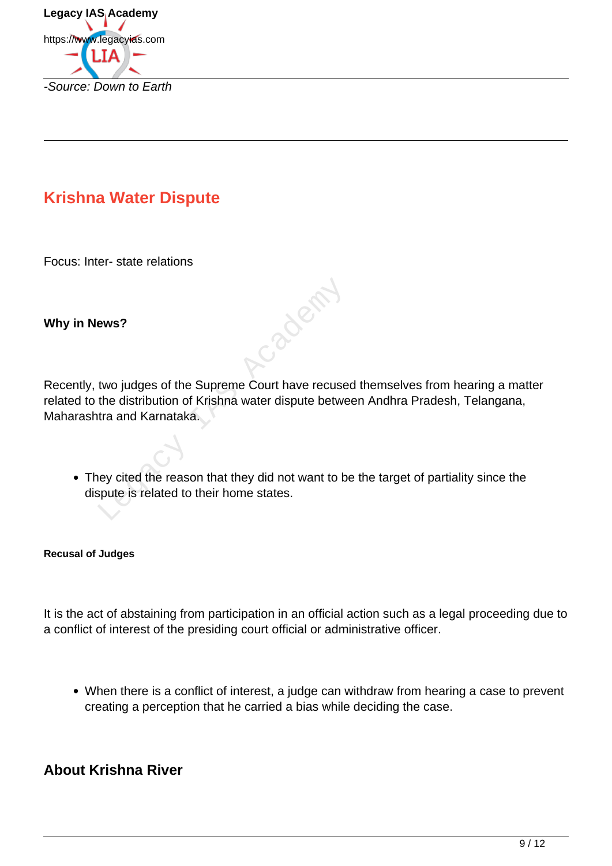

# **Krishna Water Dispute**

Focus: Inter- state relations

**Why in News?**

Recently, two judges of the Supreme Court have recused themselves from hearing a matter related to the distribution of Krishna water dispute between Andhra Pradesh, Telangana, Maharashtra and Karnataka.

Jacketi

They cited the reason that they did not want to be the target of partiality since the dispute is related to their home states.

**Recusal of Judges**

It is the act of abstaining from participation in an official action such as a legal proceeding due to a conflict of interest of the presiding court official or administrative officer.

When there is a conflict of interest, a judge can withdraw from hearing a case to prevent creating a perception that he carried a bias while deciding the case.

#### **About Krishna River**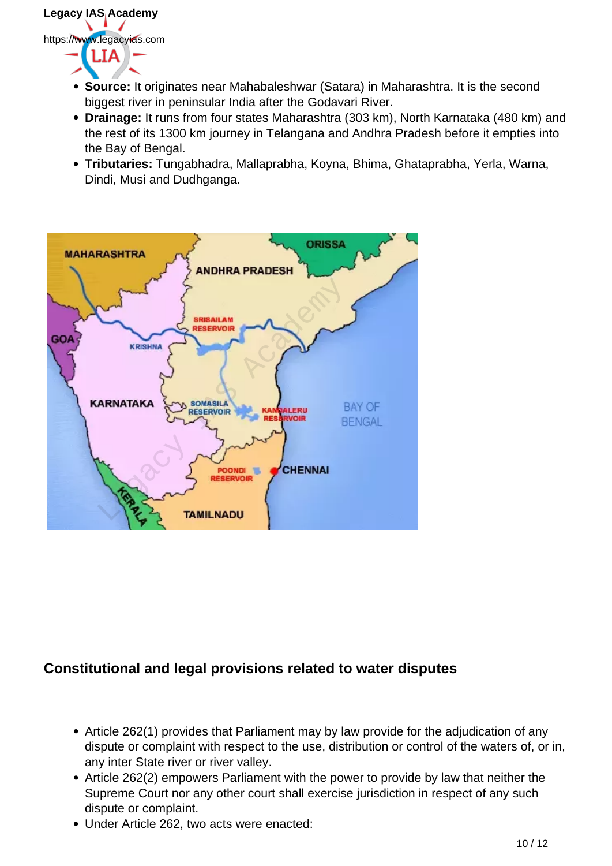- **Source:** It originates near Mahabaleshwar (Satara) in Maharashtra. It is the second biggest river in peninsular India after the Godavari River.
- **Drainage:** It runs from four states Maharashtra (303 km), North Karnataka (480 km) and the rest of its 1300 km journey in Telangana and Andhra Pradesh before it empties into the Bay of Bengal.
- **Tributaries:** Tungabhadra, Mallaprabha, Koyna, Bhima, Ghataprabha, Yerla, Warna, Dindi, Musi and Dudhganga.



# **Constitutional and legal provisions related to water disputes**

- Article 262(1) provides that Parliament may by law provide for the adjudication of any dispute or complaint with respect to the use, distribution or control of the waters of, or in, any inter State river or river valley.
- Article 262(2) empowers Parliament with the power to provide by law that neither the Supreme Court nor any other court shall exercise jurisdiction in respect of any such dispute or complaint.
- Under Article 262, two acts were enacted: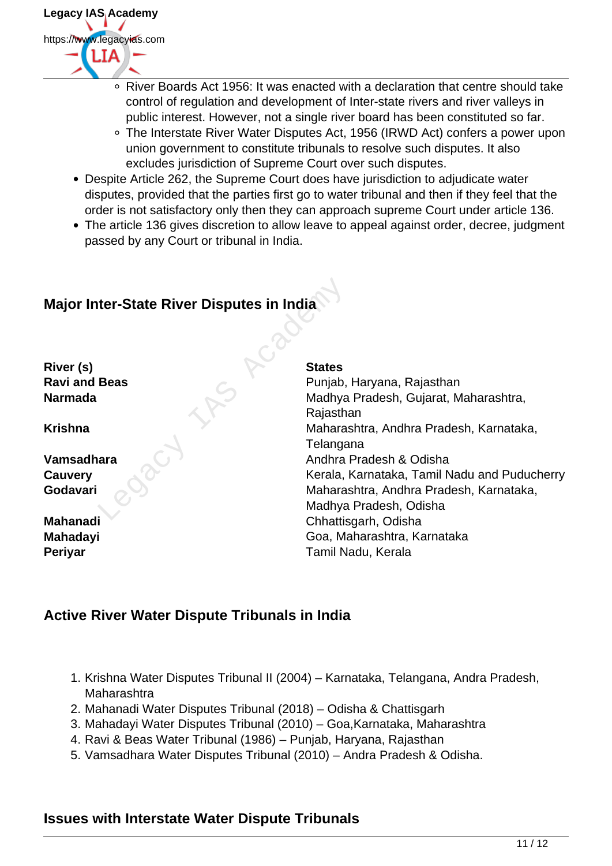

- River Boards Act 1956: It was enacted with a declaration that centre should take control of regulation and development of Inter-state rivers and river valleys in public interest. However, not a single river board has been constituted so far.
- The Interstate River Water Disputes Act, 1956 (IRWD Act) confers a power upon union government to constitute tribunals to resolve such disputes. It also excludes jurisdiction of Supreme Court over such disputes.
- Despite Article 262, the Supreme Court does have jurisdiction to adjudicate water disputes, provided that the parties first go to water tribunal and then if they feel that the order is not satisfactory only then they can approach supreme Court under article 136.
- The article 136 gives discretion to allow leave to appeal against order, decree, judgment passed by any Court or tribunal in India.

# **Major Inter-State River Disputes in India**

**River (s) States**

**Ravi and Beas Punjab, Haryana, Rajasthan Narmada** Madhya Pradesh, Gujarat, Maharashtra, Rajasthan **Krishna** Maharashtra, Andhra Pradesh, Karnataka, **Telangana Vamsadhara** Andhra Pradesh & Odisha **Cauvery** Cauvery **Kerala, Karnataka, Tamil Nadu and Puducherry** Kerala, Karnataka, Tamil Nadu and Puducherry **Godavari** Content Content Maharashtra, Andhra Pradesh, Karnataka, Madhya Pradesh, Odisha **Mahanadi** Mahanadi Chhattisgarh, Odisha **Mahadayi** Goa, Maharashtra, Karnataka Periyar **Tamil Nadu, Kerala** ter-State River Disputes in India<br>
Beas<br>
Beas<br>
Punjab, Madhya<br>
Rajasthi Mahara:<br>
Telanga<br>
Andhra<br>
Kerala, Mahara:<br>
Mahara:<br>
Telanga<br>
Andhra<br>
Kerala, Mahara:<br>
Mahara:<br>
Telanga<br>
Andhra<br>
Mahara:<br>
Mahara:<br>
Telanga<br>
Mahara:<br>
Ma

# **Active River Water Dispute Tribunals in India**

- 1. Krishna Water Disputes Tribunal II (2004) Karnataka, Telangana, Andra Pradesh, Maharashtra
- 2. Mahanadi Water Disputes Tribunal (2018) Odisha & Chattisgarh
- 3. Mahadayi Water Disputes Tribunal (2010) Goa,Karnataka, Maharashtra
- 4. Ravi & Beas Water Tribunal (1986) Punjab, Haryana, Rajasthan
- 5. Vamsadhara Water Disputes Tribunal (2010) Andra Pradesh & Odisha.

#### **Issues with Interstate Water Dispute Tribunals**